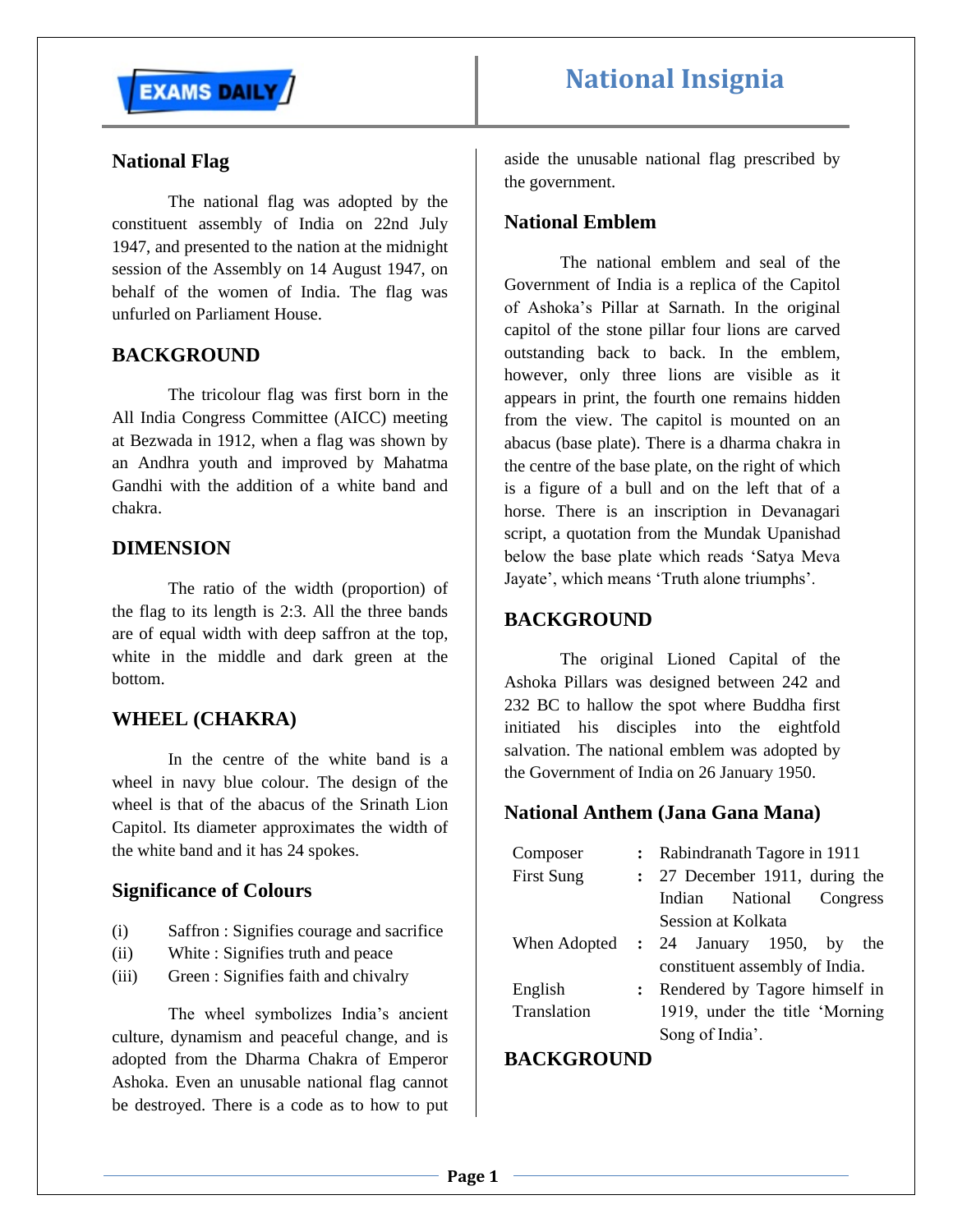

# **National Insignia**

# **National Flag**

The national flag was adopted by the constituent assembly of India on 22nd July 1947, and presented to the nation at the midnight session of the Assembly on 14 August 1947, on behalf of the women of India. The flag was unfurled on Parliament House.

# **BACKGROUND**

The tricolour flag was first born in the All India Congress Committee (AICC) meeting at Bezwada in 1912, when a flag was shown by an Andhra youth and improved by Mahatma Gandhi with the addition of a white band and chakra.

# **DIMENSION**

The ratio of the width (proportion) of the flag to its length is 2:3. All the three bands are of equal width with deep saffron at the top, white in the middle and dark green at the bottom.

# **WHEEL (CHAKRA)**

In the centre of the white band is a wheel in navy blue colour. The design of the wheel is that of the abacus of the Srinath Lion Capitol. Its diameter approximates the width of the white band and it has 24 spokes.

#### **Significance of Colours**

- (i) Saffron : Signifies courage and sacrifice
- (ii) White : Signifies truth and peace
- (iii) Green : Signifies faith and chivalry

The wheel symbolizes India's ancient culture, dynamism and peaceful change, and is adopted from the Dharma Chakra of Emperor Ashoka. Even an unusable national flag cannot be destroyed. There is a code as to how to put aside the unusable national flag prescribed by the government.

### **National Emblem**

The national emblem and seal of the Government of India is a replica of the Capitol of Ashoka's Pillar at Sarnath. In the original capitol of the stone pillar four lions are carved outstanding back to back. In the emblem, however, only three lions are visible as it appears in print, the fourth one remains hidden from the view. The capitol is mounted on an abacus (base plate). There is a dharma chakra in the centre of the base plate, on the right of which is a figure of a bull and on the left that of a horse. There is an inscription in Devanagari script, a quotation from the Mundak Upanishad below the base plate which reads 'Satya Meva Jayate', which means 'Truth alone triumphs'.

# **BACKGROUND**

The original Lioned Capital of the Ashoka Pillars was designed between 242 and 232 BC to hallow the spot where Buddha first initiated his disciples into the eightfold salvation. The national emblem was adopted by the Government of India on 26 January 1950.

# **National Anthem (Jana Gana Mana)**

| Composer          | : Rabindranath Tagore in 1911          |  |
|-------------------|----------------------------------------|--|
| <b>First Sung</b> | : 27 December 1911, during the         |  |
|                   | Indian National Congress               |  |
|                   | Session at Kolkata                     |  |
|                   | When Adopted : 24 January 1950, by the |  |
|                   | constituent assembly of India.         |  |
| English           | : Rendered by Tagore himself in        |  |
| Translation       | 1919, under the title 'Morning         |  |
|                   | Song of India'.                        |  |

## **BACKGROUND**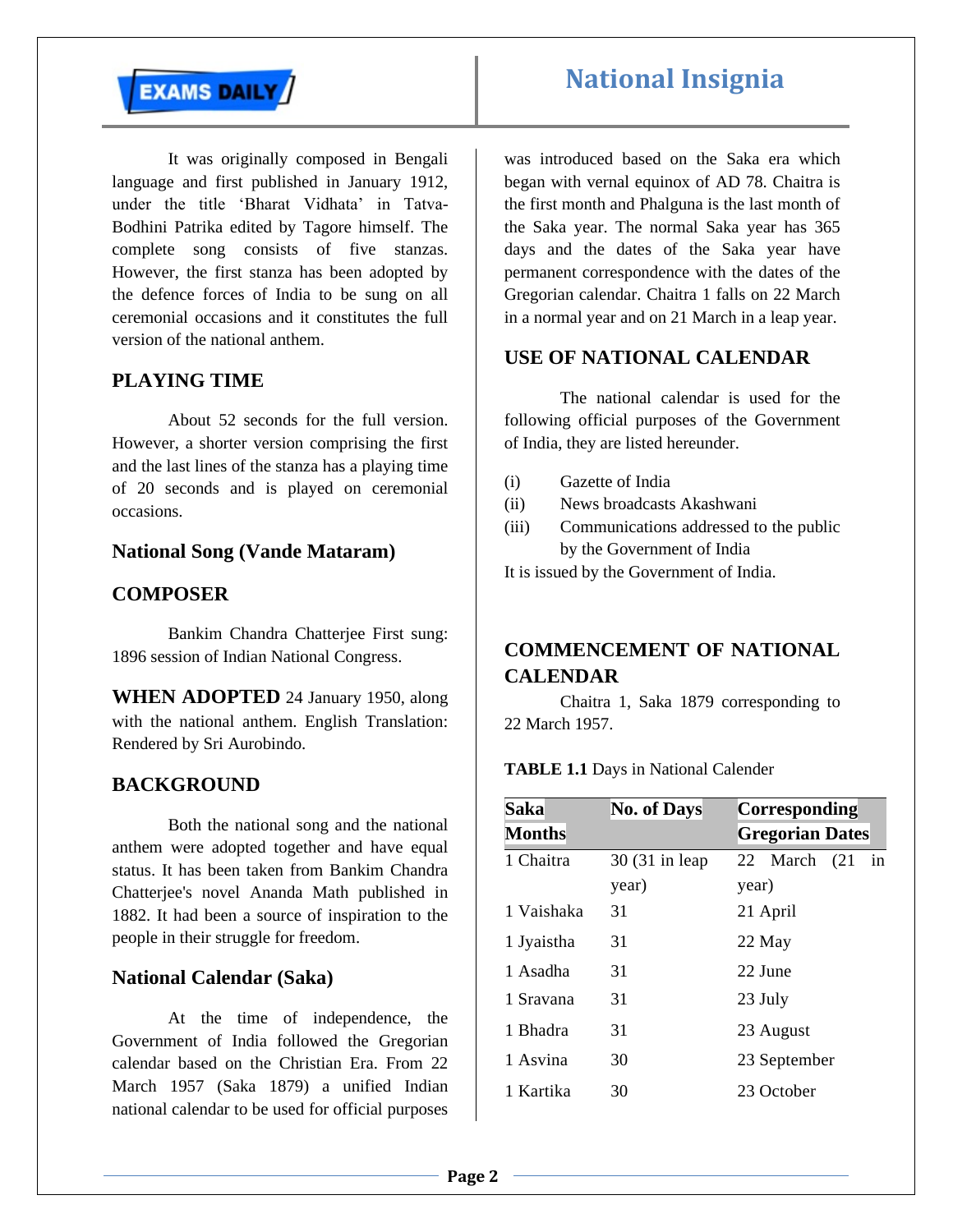

It was originally composed in Bengali language and first published in January 1912, under the title 'Bharat Vidhata' in Tatva-Bodhini Patrika edited by Tagore himself. The complete song consists of five stanzas. However, the first stanza has been adopted by the defence forces of India to be sung on all ceremonial occasions and it constitutes the full version of the national anthem.

# **PLAYING TIME**

About 52 seconds for the full version. However, a shorter version comprising the first and the last lines of the stanza has a playing time of 20 seconds and is played on ceremonial occasions.

#### **National Song (Vande Mataram)**

## **COMPOSER**

Bankim Chandra Chatterjee First sung: 1896 session of Indian National Congress.

**WHEN ADOPTED** 24 January 1950, along with the national anthem. English Translation: Rendered by Sri Aurobindo.

#### **BACKGROUND**

Both the national song and the national anthem were adopted together and have equal status. It has been taken from Bankim Chandra Chatterjee's novel Ananda Math published in 1882. It had been a source of inspiration to the people in their struggle for freedom.

#### **National Calendar (Saka)**

At the time of independence, the Government of India followed the Gregorian calendar based on the Christian Era. From 22 March 1957 (Saka 1879) a unified Indian national calendar to be used for official purposes

was introduced based on the Saka era which began with vernal equinox of AD 78. Chaitra is the first month and Phalguna is the last month of the Saka year. The normal Saka year has 365 days and the dates of the Saka year have permanent correspondence with the dates of the Gregorian calendar. Chaitra 1 falls on 22 March in a normal year and on 21 March in a leap year.

# **USE OF NATIONAL CALENDAR**

The national calendar is used for the following official purposes of the Government of India, they are listed hereunder.

- (i) Gazette of India
- (ii) News broadcasts Akashwani
- (iii) Communications addressed to the public by the Government of India

It is issued by the Government of India.

# **COMMENCEMENT OF NATIONAL CALENDAR**

Chaitra 1, Saka 1879 corresponding to 22 March 1957.

**TABLE 1.1** Days in National Calender

| <b>Saka</b>   | <b>No. of Days</b> | Corresponding          |
|---------------|--------------------|------------------------|
| <b>Months</b> |                    | <b>Gregorian Dates</b> |
| 1 Chaitra     | 30 (31 in leap)    | 22 March<br>(21)<br>1n |
|               | year)              | year)                  |
| 1 Vaishaka    | 31                 | 21 April               |
| 1 Jyaistha    | 31                 | 22 May                 |
| 1 Asadha      | 31                 | 22 June                |
| 1 Sravana     | 31                 | 23 July                |
| 1 Bhadra      | 31                 | 23 August              |
| 1 Asvina      | 30                 | 23 September           |
| 1 Kartika     | 30                 | 23 October             |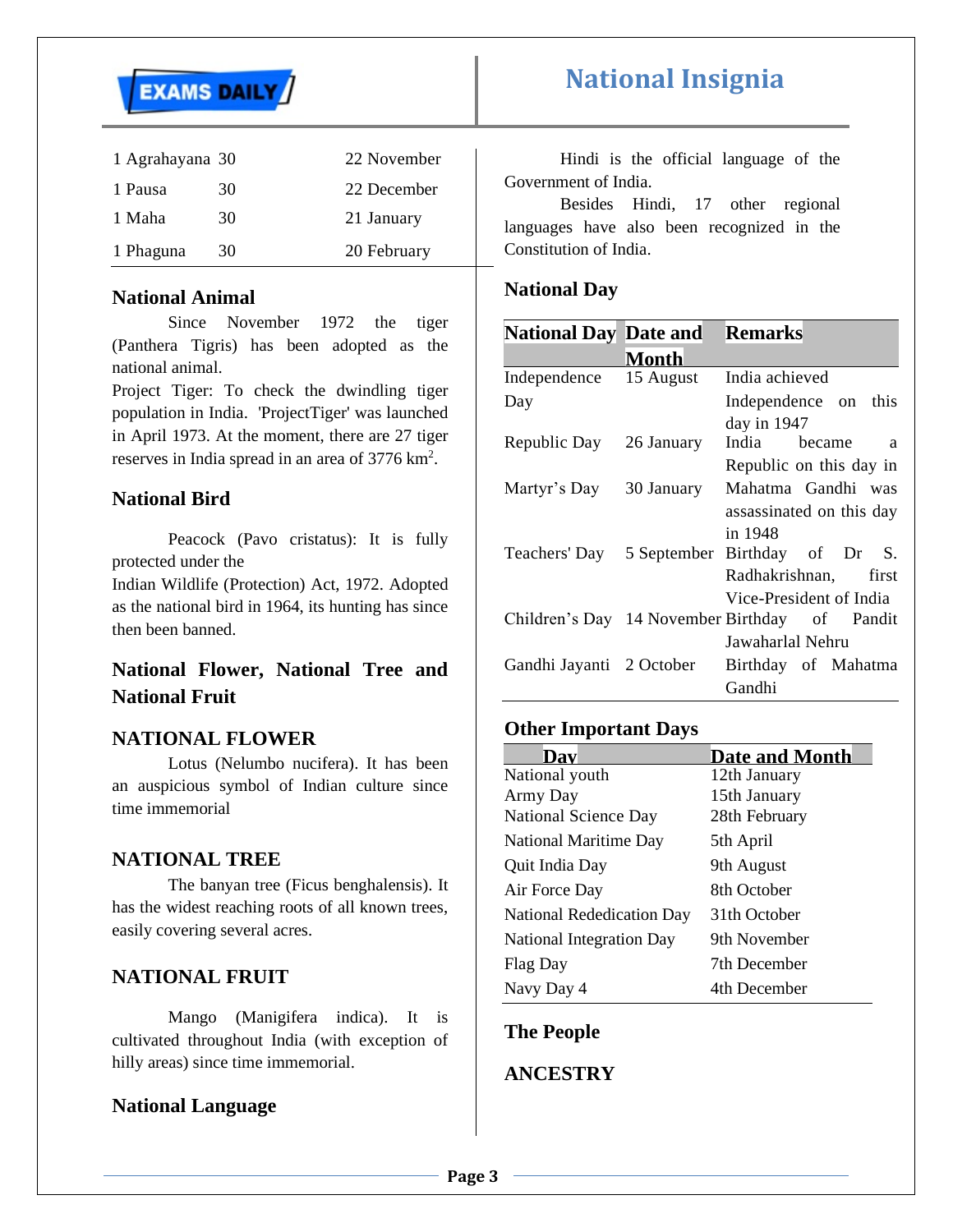

| 1 Agrahayana 30 |    | 22 November |
|-----------------|----|-------------|
| 1 Pausa         | 30 | 22 December |
| 1 Maha          | 30 | 21 January  |
| 1 Phaguna       | 30 | 20 February |
|                 |    |             |

# **National Animal**

Since November 1972 the tiger (Panthera Tigris) has been adopted as the national animal.

Project Tiger: To check the dwindling tiger population in India. 'ProjectTiger' was launched in April 1973. At the moment, there are 27 tiger reserves in India spread in an area of 3776 km<sup>2</sup>.

# **National Bird**

Peacock (Pavo cristatus): It is fully protected under the

Indian Wildlife (Protection) Act, 1972. Adopted as the national bird in 1964, its hunting has since then been banned.

# **National Flower, National Tree and National Fruit**

# **NATIONAL FLOWER**

Lotus (Nelumbo nucifera). It has been an auspicious symbol of Indian culture since time immemorial

#### **NATIONAL TREE**

The banyan tree (Ficus benghalensis). It has the widest reaching roots of all known trees, easily covering several acres.

# **NATIONAL FRUIT**

Mango (Manigifera indica). It is cultivated throughout India (with exception of hilly areas) since time immemorial.

# **National Language**

Hindi is the official language of the Government of India.

Besides Hindi, 17 other regional languages have also been recognized in the Constitution of India.

# **National Day**

| <b>National Day Date and</b> |              | <b>Remarks</b>                                |
|------------------------------|--------------|-----------------------------------------------|
|                              | <b>Month</b> |                                               |
| Independence                 | 15 August    | India achieved                                |
| Day                          |              | Independence on this                          |
|                              |              | day in $1947$                                 |
| Republic Day 26 January      |              | India became<br>a                             |
|                              |              | Republic on this day in                       |
| Martyr's Day                 | 30 January   | Mahatma Gandhi was                            |
|                              |              | assassinated on this day                      |
|                              |              | in 1948                                       |
| Teachers' Day                |              | 5 September Birthday of Dr S.                 |
|                              |              | Radhakrishnan, first                          |
|                              |              | Vice-President of India                       |
|                              |              | Children's Day 14 November Birthday of Pandit |
|                              |              | Jawaharlal Nehru                              |
| Gandhi Jayanti 2 October     |              | Birthday of Mahatma                           |
|                              |              | Gandhi                                        |

# **Other Important Days**

| Dav                          | <b>Date and Month</b> |
|------------------------------|-----------------------|
| National youth               | 12th January          |
| Army Day                     | 15th January          |
| <b>National Science Day</b>  | 28th February         |
| <b>National Maritime Day</b> | 5th April             |
| Quit India Day               | 9th August            |
| Air Force Day                | 8th October           |
| National Rededication Day    | 31th October          |
| National Integration Day     | 9th November          |
| Flag Day                     | 7th December          |
| Navy Day 4                   | 4th December          |

#### **The People**

### **ANCESTRY**